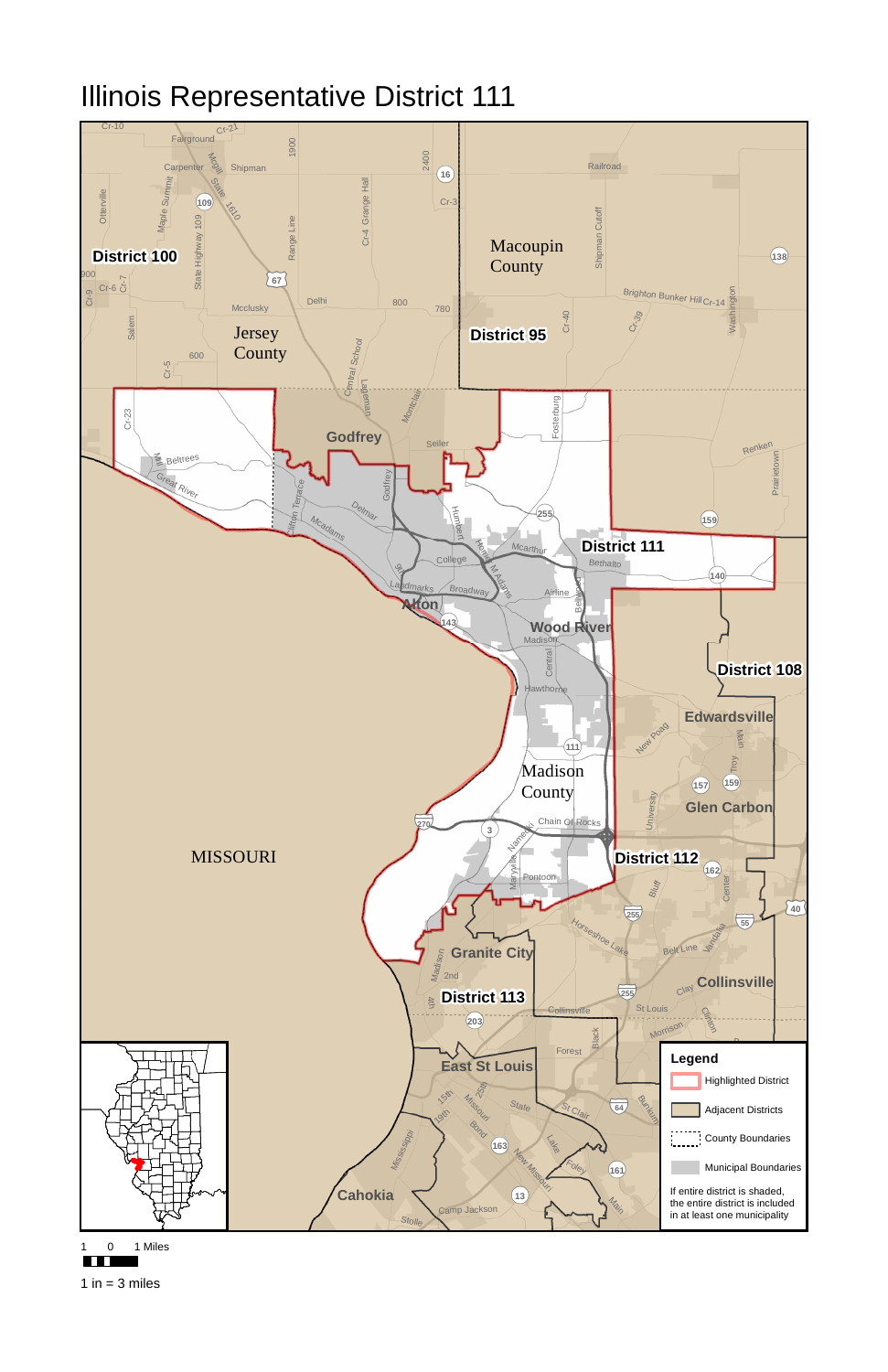

## Illinois Representative District 111





1 in  $=$  3 miles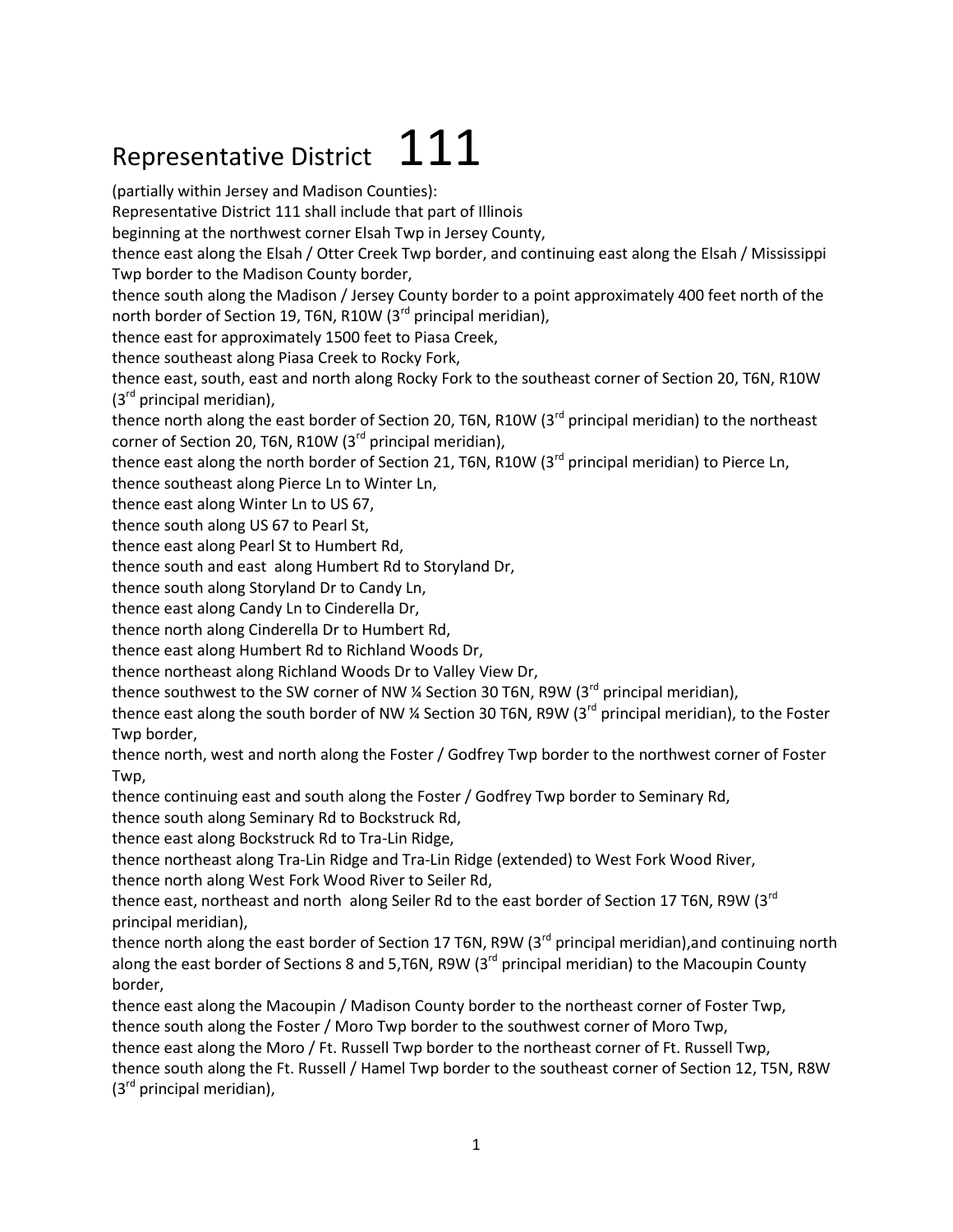## Representative District  $111$

(partially within Jersey and Madison Counties): Representative District 111 shall include that part of Illinois beginning at the northwest corner Elsah Twp in Jersey County, thence east along the Elsah / Otter Creek Twp border, and continuing east along the Elsah / Mississippi Twp border to the Madison County border, thence south along the Madison / Jersey County border to a point approximately 400 feet north of the north border of Section 19, T6N, R10W ( $3<sup>rd</sup>$  principal meridian), thence east for approximately 1500 feet to Piasa Creek, thence southeast along Piasa Creek to Rocky Fork, thence east, south, east and north along Rocky Fork to the southeast corner of Section 20, T6N, R10W  $(3^{ra}$  principal meridian), thence north along the east border of Section 20, T6N, R10W (3<sup>rd</sup> principal meridian) to the northeast corner of Section 20, T6N, R10W  $(3^{rd}$  principal meridian), thence east along the north border of Section 21, T6N, R10W (3<sup>rd</sup> principal meridian) to Pierce Ln. thence southeast along Pierce Ln to Winter Ln, thence east along Winter Ln to US 67, thence south along US 67 to Pearl St, thence east along Pearl St to Humbert Rd, thence south and east along Humbert Rd to Storyland Dr, thence south along Storyland Dr to Candy Ln, thence east along Candy Ln to Cinderella Dr, thence north along Cinderella Dr to Humbert Rd, thence east along Humbert Rd to Richland Woods Dr, thence northeast along Richland Woods Dr to Valley View Dr, thence southwest to the SW corner of NW  $\frac{1}{4}$  Section 30 T6N, R9W (3<sup>rd</sup> principal meridian), thence east along the south border of NW % Section 30 T6N, R9W (3 $^{rd}$  principal meridian), to the Foster Twp border, thence north, west and north along the Foster / Godfrey Twp border to the northwest corner of Foster Twp, thence continuing east and south along the Foster / Godfrey Twp border to Seminary Rd, thence south along Seminary Rd to Bockstruck Rd, thence east along Bockstruck Rd to Tra-Lin Ridge, thence northeast along Tra-Lin Ridge and Tra-Lin Ridge (extended) to West Fork Wood River, thence north along West Fork Wood River to Seiler Rd, thence east, northeast and north along Seiler Rd to the east border of Section 17 T6N, R9W (3<sup>rd</sup> principal meridian), thence north along the east border of Section 17 T6N, R9W (3<sup>rd</sup> principal meridian), and continuing north along the east border of Sections 8 and 5,T6N, R9W (3<sup>rd</sup> principal meridian) to the Macoupin County border, thence east along the Macoupin / Madison County border to the northeast corner of Foster Twp, thence south along the Foster / Moro Twp border to the southwest corner of Moro Twp, thence east along the Moro / Ft. Russell Twp border to the northeast corner of Ft. Russell Twp, thence south along the Ft. Russell / Hamel Twp border to the southeast corner of Section 12, T5N, R8W  $(3<sup>rd</sup>$  principal meridian),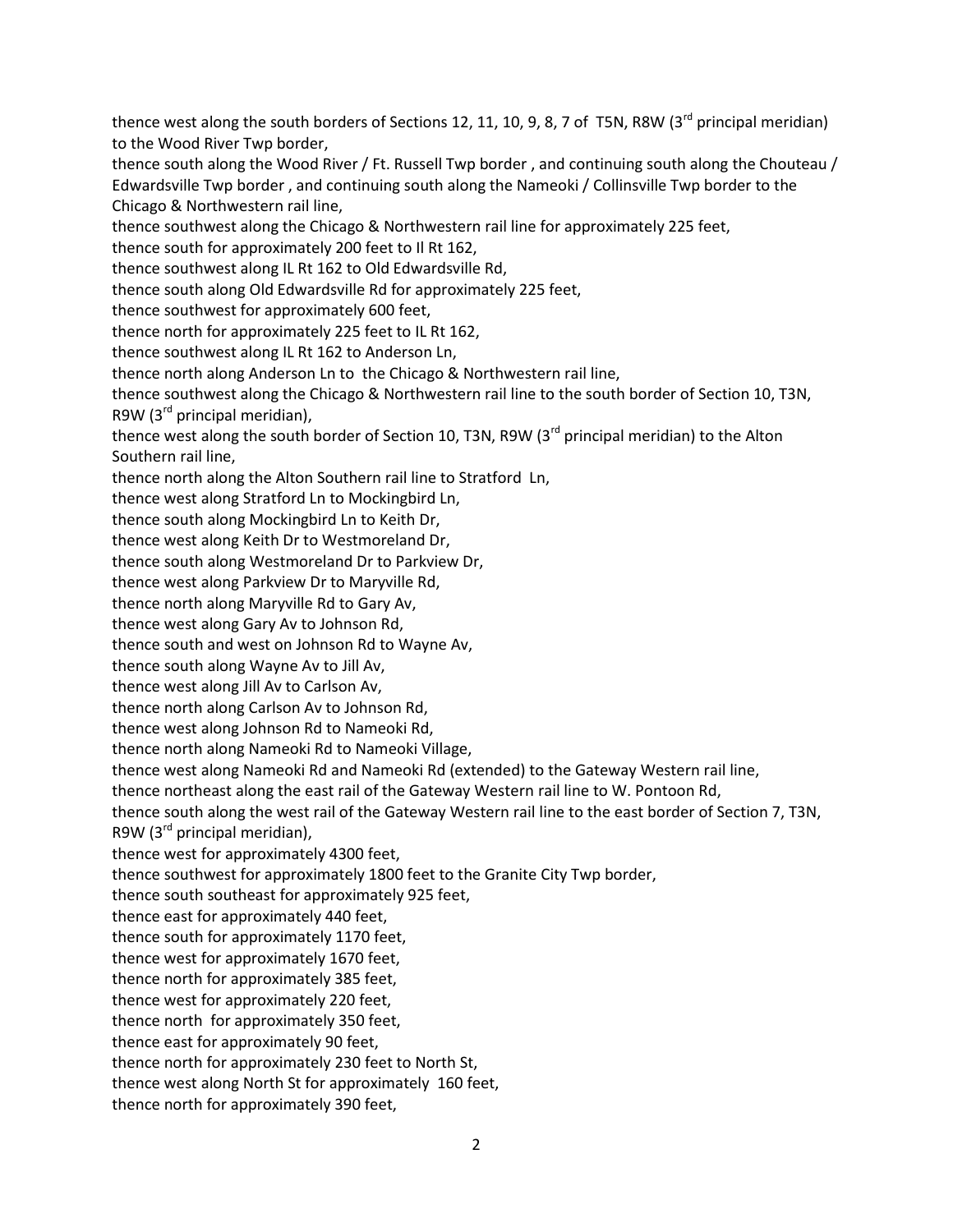thence west along the south borders of Sections 12, 11, 10, 9, 8, 7 of T5N, R8W (3<sup>rd</sup> principal meridian) to the Wood River Twp border,

thence south along the Wood River / Ft. Russell Twp border , and continuing south along the Chouteau / Edwardsville Twp border , and continuing south along the Nameoki / Collinsville Twp border to the Chicago & Northwestern rail line,

thence southwest along the Chicago & Northwestern rail line for approximately 225 feet,

thence south for approximately 200 feet to Il Rt 162,

thence southwest along IL Rt 162 to Old Edwardsville Rd,

thence south along Old Edwardsville Rd for approximately 225 feet,

thence southwest for approximately 600 feet,

thence north for approximately 225 feet to IL Rt 162,

thence southwest along IL Rt 162 to Anderson Ln,

thence north along Anderson Ln to the Chicago & Northwestern rail line,

thence southwest along the Chicago & Northwestern rail line to the south border of Section 10, T3N, R9W (3rd principal meridian),

thence west along the south border of Section 10, T3N, R9W  $(3^{rd}$  principal meridian) to the Alton Southern rail line,

thence north along the Alton Southern rail line to Stratford Ln,

thence west along Stratford Ln to Mockingbird Ln,

thence south along Mockingbird Ln to Keith Dr,

thence west along Keith Dr to Westmoreland Dr,

thence south along Westmoreland Dr to Parkview Dr,

thence west along Parkview Dr to Maryville Rd,

thence north along Maryville Rd to Gary Av,

thence west along Gary Av to Johnson Rd,

thence south and west on Johnson Rd to Wayne Av,

thence south along Wayne Av to Jill Av,

thence west along Jill Av to Carlson Av,

thence north along Carlson Av to Johnson Rd,

thence west along Johnson Rd to Nameoki Rd,

thence north along Nameoki Rd to Nameoki Village,

thence west along Nameoki Rd and Nameoki Rd (extended) to the Gateway Western rail line,

thence northeast along the east rail of the Gateway Western rail line to W. Pontoon Rd,

thence south along the west rail of the Gateway Western rail line to the east border of Section 7, T3N,

R9W ( $3<sup>rd</sup>$  principal meridian),

thence west for approximately 4300 feet,

thence southwest for approximately 1800 feet to the Granite City Twp border,

thence south southeast for approximately 925 feet,

thence east for approximately 440 feet,

thence south for approximately 1170 feet,

thence west for approximately 1670 feet,

thence north for approximately 385 feet,

thence west for approximately 220 feet,

thence north for approximately 350 feet,

thence east for approximately 90 feet,

thence north for approximately 230 feet to North St,

thence west along North St for approximately 160 feet,

thence north for approximately 390 feet,